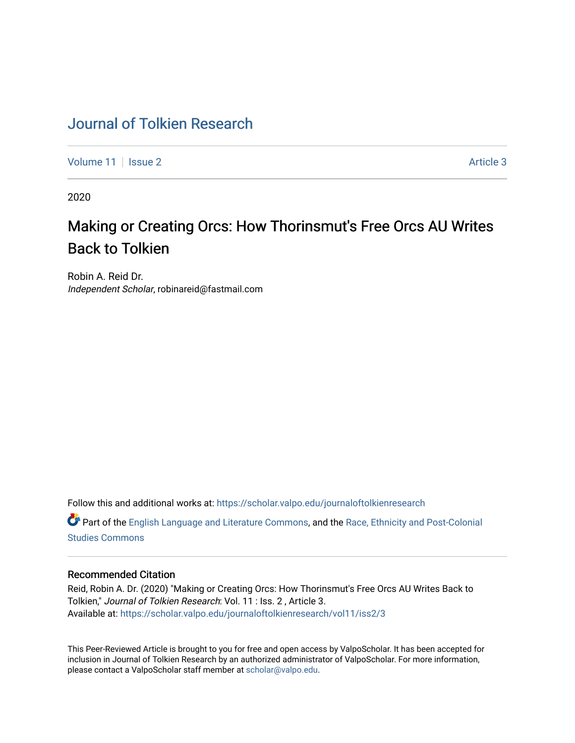## [Journal of Tolkien Research](https://scholar.valpo.edu/journaloftolkienresearch)

[Volume 11](https://scholar.valpo.edu/journaloftolkienresearch/vol11) | [Issue 2](https://scholar.valpo.edu/journaloftolkienresearch/vol11/iss2) Article 3

2020

# Making or Creating Orcs: How Thorinsmut's Free Orcs AU Writes Back to Tolkien

Robin A. Reid Dr. Independent Scholar, robinareid@fastmail.com

Follow this and additional works at: [https://scholar.valpo.edu/journaloftolkienresearch](https://scholar.valpo.edu/journaloftolkienresearch?utm_source=scholar.valpo.edu%2Fjournaloftolkienresearch%2Fvol11%2Fiss2%2F3&utm_medium=PDF&utm_campaign=PDFCoverPages) 

Part of the [English Language and Literature Commons](http://network.bepress.com/hgg/discipline/455?utm_source=scholar.valpo.edu%2Fjournaloftolkienresearch%2Fvol11%2Fiss2%2F3&utm_medium=PDF&utm_campaign=PDFCoverPages), and the [Race, Ethnicity and Post-Colonial](http://network.bepress.com/hgg/discipline/566?utm_source=scholar.valpo.edu%2Fjournaloftolkienresearch%2Fvol11%2Fiss2%2F3&utm_medium=PDF&utm_campaign=PDFCoverPages)  [Studies Commons](http://network.bepress.com/hgg/discipline/566?utm_source=scholar.valpo.edu%2Fjournaloftolkienresearch%2Fvol11%2Fiss2%2F3&utm_medium=PDF&utm_campaign=PDFCoverPages) 

### Recommended Citation

Reid, Robin A. Dr. (2020) "Making or Creating Orcs: How Thorinsmut's Free Orcs AU Writes Back to Tolkien," Journal of Tolkien Research: Vol. 11 : Iss. 2 , Article 3. Available at: [https://scholar.valpo.edu/journaloftolkienresearch/vol11/iss2/3](https://scholar.valpo.edu/journaloftolkienresearch/vol11/iss2/3?utm_source=scholar.valpo.edu%2Fjournaloftolkienresearch%2Fvol11%2Fiss2%2F3&utm_medium=PDF&utm_campaign=PDFCoverPages) 

This Peer-Reviewed Article is brought to you for free and open access by ValpoScholar. It has been accepted for inclusion in Journal of Tolkien Research by an authorized administrator of ValpoScholar. For more information, please contact a ValpoScholar staff member at [scholar@valpo.edu](mailto:scholar@valpo.edu).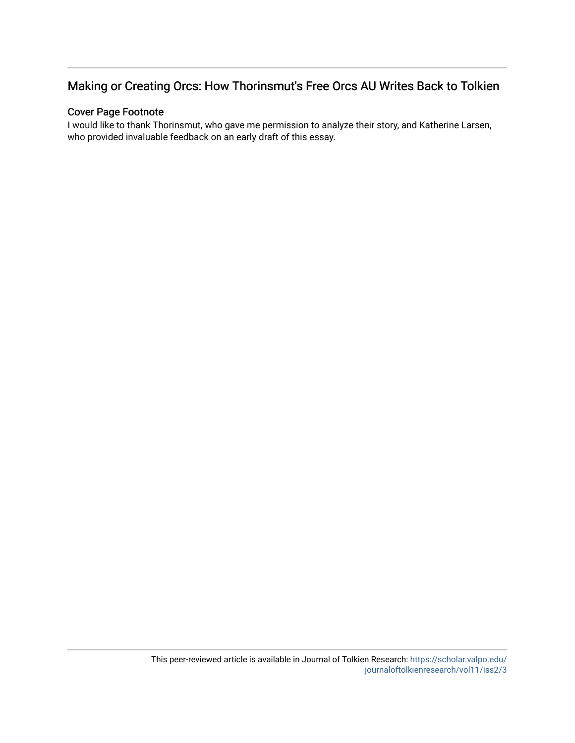### Making or Creating Orcs: How Thorinsmut's Free Orcs AU Writes Back to Tolkien

### Cover Page Footnote

I would like to thank Thorinsmut, who gave me permission to analyze their story, and Katherine Larsen, who provided invaluable feedback on an early draft of this essay.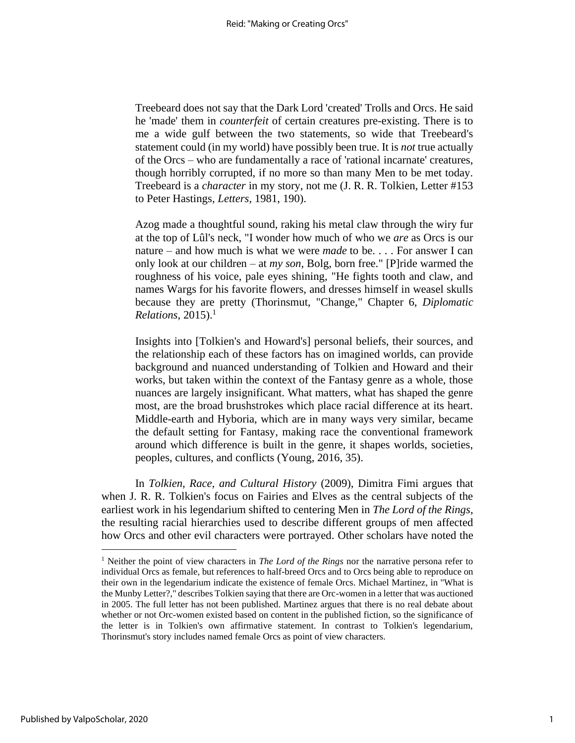Treebeard does not say that the Dark Lord 'created' Trolls and Orcs. He said he 'made' them in *counterfeit* of certain creatures pre-existing. There is to me a wide gulf between the two statements, so wide that Treebeard's statement could (in my world) have possibly been true. It is *not* true actually of the Orcs – who are fundamentally a race of 'rational incarnate' creatures, though horribly corrupted, if no more so than many Men to be met today. Treebeard is a *character* in my story, not me (J. R. R. Tolkien, Letter #153 to Peter Hastings, *Letters*, 1981, 190).

Azog made a thoughtful sound, raking his metal claw through the wiry fur at the top of Lûl's neck, "I wonder how much of who we *are* as Orcs is our nature – and how much is what we were *made* to be. . . . For answer I can only look at our children – at *my son*, Bolg, born free." [P]ride warmed the roughness of his voice, pale eyes shining, "He fights tooth and claw, and names Wargs for his favorite flowers, and dresses himself in weasel skulls because they are pretty (Thorinsmut, "Change," Chapter 6, *Diplomatic Relations*, 2015).<sup>1</sup>

Insights into [Tolkien's and Howard's] personal beliefs, their sources, and the relationship each of these factors has on imagined worlds, can provide background and nuanced understanding of Tolkien and Howard and their works, but taken within the context of the Fantasy genre as a whole, those nuances are largely insignificant. What matters, what has shaped the genre most, are the broad brushstrokes which place racial difference at its heart. Middle-earth and Hyboria, which are in many ways very similar, became the default setting for Fantasy, making race the conventional framework around which difference is built in the genre, it shapes worlds, societies, peoples, cultures, and conflicts (Young, 2016, 35).

In *Tolkien, Race, and Cultural History* (2009), Dimitra Fimi argues that when J. R. R. Tolkien's focus on Fairies and Elves as the central subjects of the earliest work in his legendarium shifted to centering Men in *The Lord of the Rings*, the resulting racial hierarchies used to describe different groups of men affected how Orcs and other evil characters were portrayed. Other scholars have noted the

<sup>&</sup>lt;sup>1</sup> Neither the point of view characters in *The Lord of the Rings* nor the narrative persona refer to individual Orcs as female, but references to half-breed Orcs and to Orcs being able to reproduce on their own in the legendarium indicate the existence of female Orcs. Michael Martinez, in "What is the Munby Letter?," describes Tolkien saying that there are Orc-women in a letter that was auctioned in 2005. The full letter has not been published. Martinez argues that there is no real debate about whether or not Orc-women existed based on content in the published fiction, so the significance of the letter is in Tolkien's own affirmative statement. In contrast to Tolkien's legendarium, Thorinsmut's story includes named female Orcs as point of view characters.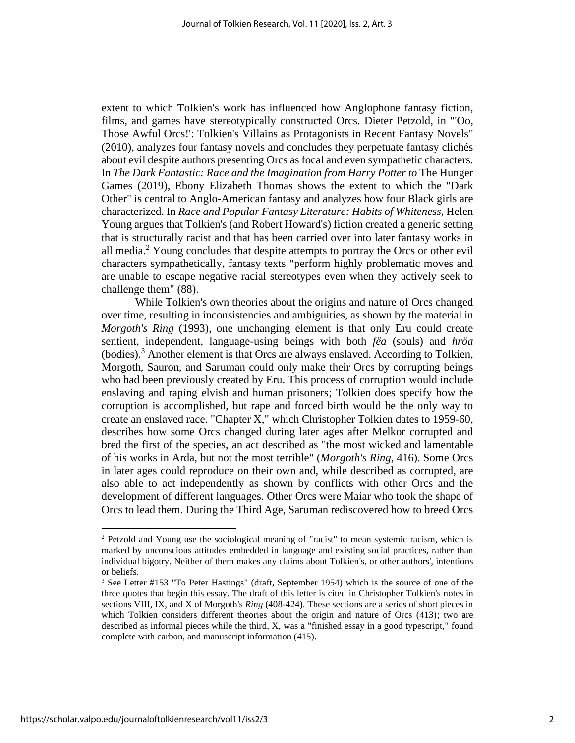extent to which Tolkien's work has influenced how Anglophone fantasy fiction, films, and games have stereotypically constructed Orcs. Dieter Petzold, in "'Oo, Those Awful Orcs!': Tolkien's Villains as Protagonists in Recent Fantasy Novels" (2010), analyzes four fantasy novels and concludes they perpetuate fantasy clichés about evil despite authors presenting Orcs as focal and even sympathetic characters. In *The Dark Fantastic: Race and the Imagination from Harry Potter to* The Hunger Games (2019), Ebony Elizabeth Thomas shows the extent to which the "Dark Other" is central to Anglo-American fantasy and analyzes how four Black girls are characterized. In *Race and Popular Fantasy Literature: Habits of Whiteness*, Helen Young argues that Tolkien's (and Robert Howard's) fiction created a generic setting that is structurally racist and that has been carried over into later fantasy works in all media.<sup>2</sup> Young concludes that despite attempts to portray the Orcs or other evil characters sympathetically, fantasy texts "perform highly problematic moves and are unable to escape negative racial stereotypes even when they actively seek to challenge them" (88).

While Tolkien's own theories about the origins and nature of Orcs changed over time, resulting in inconsistencies and ambiguities, as shown by the material in *Morgoth's Ring* (1993), one unchanging element is that only Eru could create sentient, independent, language-using beings with both *fëa* (souls) and *hröa* (bodies). <sup>3</sup> Another element is that Orcs are always enslaved. According to Tolkien, Morgoth, Sauron, and Saruman could only make their Orcs by corrupting beings who had been previously created by Eru. This process of corruption would include enslaving and raping elvish and human prisoners; Tolkien does specify how the corruption is accomplished, but rape and forced birth would be the only way to create an enslaved race. "Chapter X," which Christopher Tolkien dates to 1959-60, describes how some Orcs changed during later ages after Melkor corrupted and bred the first of the species, an act described as "the most wicked and lamentable of his works in Arda, but not the most terrible" (*Morgoth's Ring*, 416). Some Orcs in later ages could reproduce on their own and, while described as corrupted, are also able to act independently as shown by conflicts with other Orcs and the development of different languages. Other Orcs were Maiar who took the shape of Orcs to lead them. During the Third Age, Saruman rediscovered how to breed Orcs

<sup>2</sup> Petzold and Young use the sociological meaning of "racist" to mean systemic racism, which is marked by unconscious attitudes embedded in language and existing social practices, rather than individual bigotry. Neither of them makes any claims about Tolkien's, or other authors', intentions or beliefs.

<sup>&</sup>lt;sup>3</sup> See Letter #153 "To Peter Hastings" (draft, September 1954) which is the source of one of the three quotes that begin this essay. The draft of this letter is cited in Christopher Tolkien's notes in sections VIII, IX, and X of Morgoth's *Ring* (408-424). These sections are a series of short pieces in which Tolkien considers different theories about the origin and nature of Orcs (413); two are described as informal pieces while the third, X, was a "finished essay in a good typescript," found complete with carbon, and manuscript information (415).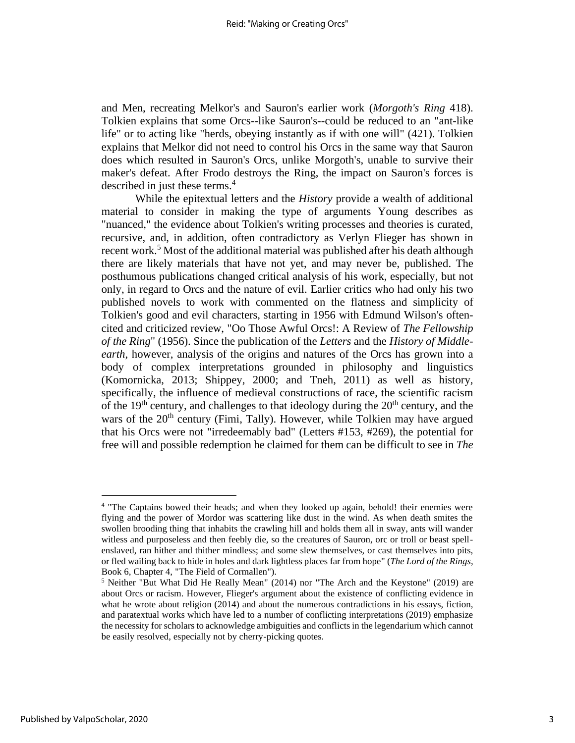and Men, recreating Melkor's and Sauron's earlier work (*Morgoth's Ring* 418). Tolkien explains that some Orcs--like Sauron's--could be reduced to an "ant-like life" or to acting like "herds, obeying instantly as if with one will" (421). Tolkien explains that Melkor did not need to control his Orcs in the same way that Sauron does which resulted in Sauron's Orcs, unlike Morgoth's, unable to survive their maker's defeat. After Frodo destroys the Ring, the impact on Sauron's forces is described in just these terms.<sup>4</sup>

While the epitextual letters and the *History* provide a wealth of additional material to consider in making the type of arguments Young describes as "nuanced," the evidence about Tolkien's writing processes and theories is curated, recursive, and, in addition, often contradictory as Verlyn Flieger has shown in recent work.<sup>5</sup> Most of the additional material was published after his death although there are likely materials that have not yet, and may never be, published. The posthumous publications changed critical analysis of his work, especially, but not only, in regard to Orcs and the nature of evil. Earlier critics who had only his two published novels to work with commented on the flatness and simplicity of Tolkien's good and evil characters, starting in 1956 with Edmund Wilson's oftencited and criticized review, "Oo Those Awful Orcs!: A Review of *The Fellowship of the Ring*" (1956). Since the publication of the *Letters* and the *History of Middleearth*, however, analysis of the origins and natures of the Orcs has grown into a body of complex interpretations grounded in philosophy and linguistics (Komornicka, 2013; Shippey, 2000; and Tneh, 2011) as well as history, specifically, the influence of medieval constructions of race, the scientific racism of the  $19<sup>th</sup>$  century, and challenges to that ideology during the  $20<sup>th</sup>$  century, and the wars of the 20<sup>th</sup> century (Fimi, Tally). However, while Tolkien may have argued that his Orcs were not "irredeemably bad" (Letters #153, #269), the potential for free will and possible redemption he claimed for them can be difficult to see in *The* 

<sup>4</sup> "The Captains bowed their heads; and when they looked up again, behold! their enemies were flying and the power of Mordor was scattering like dust in the wind. As when death smites the swollen brooding thing that inhabits the crawling hill and holds them all in sway, ants will wander witless and purposeless and then feebly die, so the creatures of Sauron, orc or troll or beast spellenslaved, ran hither and thither mindless; and some slew themselves, or cast themselves into pits, or fled wailing back to hide in holes and dark lightless places far from hope" (*The Lord of the Rings*, Book 6, Chapter 4, "The Field of Cormallen").

<sup>&</sup>lt;sup>5</sup> Neither "But What Did He Really Mean" (2014) nor "The Arch and the Keystone" (2019) are about Orcs or racism. However, Flieger's argument about the existence of conflicting evidence in what he wrote about religion (2014) and about the numerous contradictions in his essays, fiction, and paratextual works which have led to a number of conflicting interpretations (2019) emphasize the necessity for scholars to acknowledge ambiguities and conflicts in the legendarium which cannot be easily resolved, especially not by cherry-picking quotes.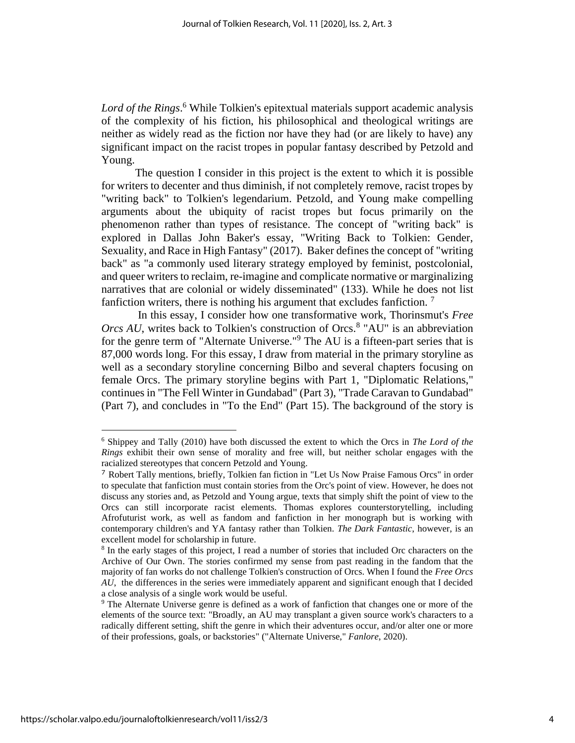*Lord of the Rings*. <sup>6</sup> While Tolkien's epitextual materials support academic analysis of the complexity of his fiction, his philosophical and theological writings are neither as widely read as the fiction nor have they had (or are likely to have) any significant impact on the racist tropes in popular fantasy described by Petzold and Young.

The question I consider in this project is the extent to which it is possible for writers to decenter and thus diminish, if not completely remove, racist tropes by "writing back" to Tolkien's legendarium. Petzold, and Young make compelling arguments about the ubiquity of racist tropes but focus primarily on the phenomenon rather than types of resistance. The concept of "writing back" is explored in Dallas John Baker's essay, "Writing Back to Tolkien: Gender, Sexuality, and Race in High Fantasy" (2017). Baker defines the concept of "writing back" as "a commonly used literary strategy employed by feminist, postcolonial, and queer writers to reclaim, re-imagine and complicate normative or marginalizing narratives that are colonial or widely disseminated" (133). While he does not list fanfiction writers, there is nothing his argument that excludes fanfiction.<sup>7</sup>

In this essay, I consider how one transformative work, Thorinsmut's *Free*  Orcs AU, writes back to Tolkien's construction of Orcs.<sup>8</sup> "AU" is an abbreviation for the genre term of "Alternate Universe." <sup>9</sup> The AU is a fifteen-part series that is 87,000 words long. For this essay, I draw from material in the primary storyline as well as a secondary storyline concerning Bilbo and several chapters focusing on female Orcs. The primary storyline begins with Part 1, "Diplomatic Relations," continues in "The Fell Winter in Gundabad" (Part 3), "Trade Caravan to Gundabad" (Part 7), and concludes in "To the End" (Part 15). The background of the story is

<sup>6</sup> Shippey and Tally (2010) have both discussed the extent to which the Orcs in *The Lord of the Rings* exhibit their own sense of morality and free will, but neither scholar engages with the racialized stereotypes that concern Petzold and Young.

<sup>7</sup> Robert Tally mentions, briefly, Tolkien fan fiction in "Let Us Now Praise Famous Orcs" in order to speculate that fanfiction must contain stories from the Orc's point of view. However, he does not discuss any stories and, as Petzold and Young argue, texts that simply shift the point of view to the Orcs can still incorporate racist elements. Thomas explores counterstorytelling, including Afrofuturist work, as well as fandom and fanfiction in her monograph but is working with contemporary children's and YA fantasy rather than Tolkien. *The Dark Fantastic*, however, is an excellent model for scholarship in future.

<sup>&</sup>lt;sup>8</sup> In the early stages of this project, I read a number of stories that included Orc characters on the Archive of Our Own. The stories confirmed my sense from past reading in the fandom that the majority of fan works do not challenge Tolkien's construction of Orcs. When I found the *Free Orcs AU*, the differences in the series were immediately apparent and significant enough that I decided a close analysis of a single work would be useful.

<sup>9</sup> The Alternate Universe genre is defined as a work of fanfiction that changes one or more of the elements of the source text: "Broadly, an AU may transplant a given source work's characters to a radically different setting, shift the genre in which their adventures occur, and/or alter one or more of their professions, goals, or backstories" ("Alternate Universe," *Fanlore*, 2020).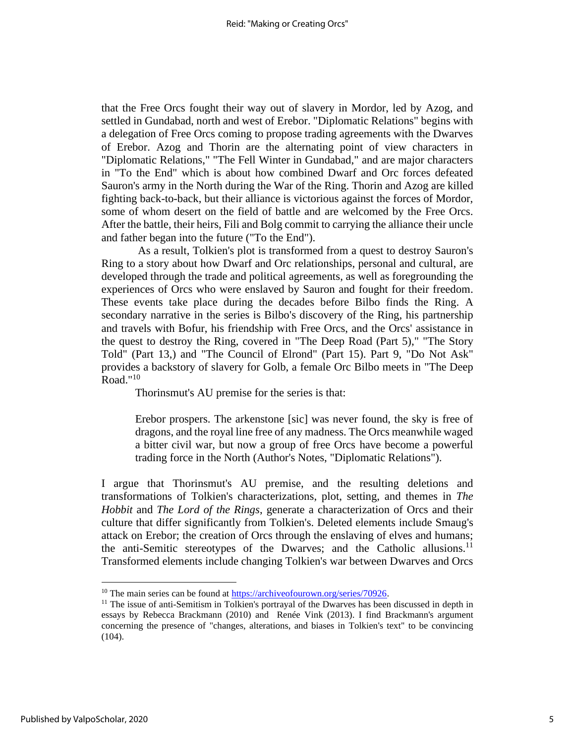that the Free Orcs fought their way out of slavery in Mordor, led by Azog, and settled in Gundabad, north and west of Erebor. "Diplomatic Relations" begins with a delegation of Free Orcs coming to propose trading agreements with the Dwarves of Erebor. Azog and Thorin are the alternating point of view characters in "Diplomatic Relations," "The Fell Winter in Gundabad," and are major characters in "To the End" which is about how combined Dwarf and Orc forces defeated Sauron's army in the North during the War of the Ring. Thorin and Azog are killed fighting back-to-back, but their alliance is victorious against the forces of Mordor, some of whom desert on the field of battle and are welcomed by the Free Orcs. After the battle, their heirs, Fili and Bolg commit to carrying the alliance their uncle and father began into the future ("To the End").

As a result, Tolkien's plot is transformed from a quest to destroy Sauron's Ring to a story about how Dwarf and Orc relationships, personal and cultural, are developed through the trade and political agreements, as well as foregrounding the experiences of Orcs who were enslaved by Sauron and fought for their freedom. These events take place during the decades before Bilbo finds the Ring. A secondary narrative in the series is Bilbo's discovery of the Ring, his partnership and travels with Bofur, his friendship with Free Orcs, and the Orcs' assistance in the quest to destroy the Ring, covered in "The Deep Road (Part 5)," "The Story Told" (Part 13,) and "The Council of Elrond" (Part 15). Part 9, "Do Not Ask" provides a backstory of slavery for Golb, a female Orc Bilbo meets in "The Deep Road."<sup>10</sup>

Thorinsmut's AU premise for the series is that:

Erebor prospers. The arkenstone [sic] was never found, the sky is free of dragons, and the royal line free of any madness. The Orcs meanwhile waged a bitter civil war, but now a group of free Orcs have become a powerful trading force in the North (Author's Notes, "Diplomatic Relations").

I argue that Thorinsmut's AU premise, and the resulting deletions and transformations of Tolkien's characterizations, plot, setting, and themes in *The Hobbit* and *The Lord of the Rings*, generate a characterization of Orcs and their culture that differ significantly from Tolkien's. Deleted elements include Smaug's attack on Erebor; the creation of Orcs through the enslaving of elves and humans; the anti-Semitic stereotypes of the Dwarves; and the Catholic allusions.<sup>11</sup> Transformed elements include changing Tolkien's war between Dwarves and Orcs

<sup>&</sup>lt;sup>10</sup> The main series can be found a[t https://archiveofourown.org/series/70926.](https://archiveofourown.org/series/70926)

 $<sup>11</sup>$  The issue of anti-Semitism in Tolkien's portrayal of the Dwarves has been discussed in depth in</sup> essays by Rebecca Brackmann (2010) and Renée Vink (2013). I find Brackmann's argument concerning the presence of "changes, alterations, and biases in Tolkien's text" to be convincing (104).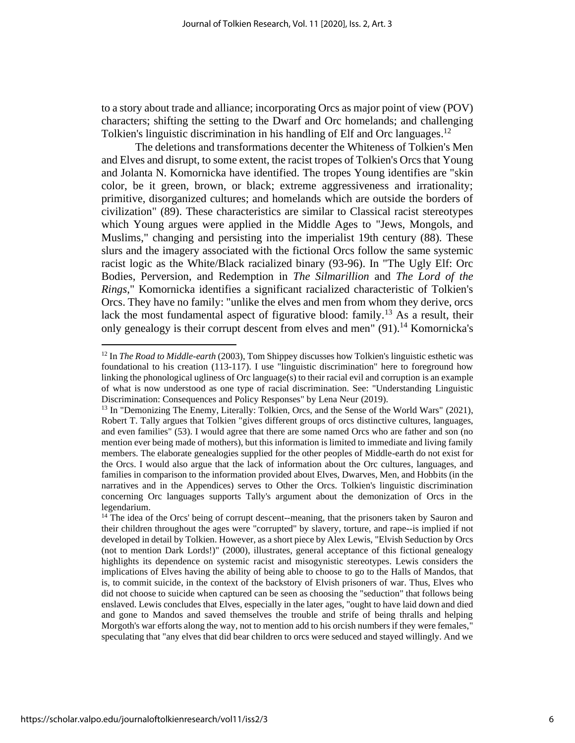to a story about trade and alliance; incorporating Orcs as major point of view (POV) characters; shifting the setting to the Dwarf and Orc homelands; and challenging Tolkien's linguistic discrimination in his handling of Elf and Orc languages.<sup>12</sup>

The deletions and transformations decenter the Whiteness of Tolkien's Men and Elves and disrupt, to some extent, the racist tropes of Tolkien's Orcs that Young and Jolanta N. Komornicka have identified. The tropes Young identifies are "skin color, be it green, brown, or black; extreme aggressiveness and irrationality; primitive, disorganized cultures; and homelands which are outside the borders of civilization" (89). These characteristics are similar to Classical racist stereotypes which Young argues were applied in the Middle Ages to "Jews, Mongols, and Muslims," changing and persisting into the imperialist 19th century (88). These slurs and the imagery associated with the fictional Orcs follow the same systemic racist logic as the White/Black racialized binary (93-96). In "The Ugly Elf: Orc Bodies, Perversion, and Redemption in *The Silmarillion* and *The Lord of the Rings*," Komornicka identifies a significant racialized characteristic of Tolkien's Orcs. They have no family: "unlike the elves and men from whom they derive, orcs lack the most fundamental aspect of figurative blood: family.<sup>13</sup> As a result, their only genealogy is their corrupt descent from elves and men"  $(91)$ .<sup>14</sup> Komornicka's

<sup>12</sup> In *The Road to Middle-earth* (2003), Tom Shippey discusses how Tolkien's linguistic esthetic was foundational to his creation (113-117). I use "linguistic discrimination" here to foreground how linking the phonological ugliness of Orc language(s) to their racial evil and corruption is an example of what is now understood as one type of racial discrimination. See: "Understanding Linguistic Discrimination: Consequences and Policy Responses" by Lena Neur (2019).

 $<sup>13</sup>$  In "Demonizing The Enemy, Literally: Tolkien, Orcs, and the Sense of the World Wars" (2021),</sup> Robert T. Tally argues that Tolkien "gives different groups of orcs distinctive cultures, languages, and even families" (53). I would agree that there are some named Orcs who are father and son (no mention ever being made of mothers), but this information is limited to immediate and living family members. The elaborate genealogies supplied for the other peoples of Middle-earth do not exist for the Orcs. I would also argue that the lack of information about the Orc cultures, languages, and families in comparison to the information provided about Elves, Dwarves, Men, and Hobbits (in the narratives and in the Appendices) serves to Other the Orcs. Tolkien's linguistic discrimination concerning Orc languages supports Tally's argument about the demonization of Orcs in the legendarium.

<sup>&</sup>lt;sup>14</sup> The idea of the Orcs' being of corrupt descent--meaning, that the prisoners taken by Sauron and their children throughout the ages were "corrupted" by slavery, torture, and rape--is implied if not developed in detail by Tolkien. However, as a short piece by Alex Lewis, "Elvish Seduction by Orcs (not to mention Dark Lords!)" (2000), illustrates, general acceptance of this fictional genealogy highlights its dependence on systemic racist and misogynistic stereotypes. Lewis considers the implications of Elves having the ability of being able to choose to go to the Halls of Mandos, that is, to commit suicide, in the context of the backstory of Elvish prisoners of war. Thus, Elves who did not choose to suicide when captured can be seen as choosing the "seduction" that follows being enslaved. Lewis concludes that Elves, especially in the later ages, "ought to have laid down and died and gone to Mandos and saved themselves the trouble and strife of being thralls and helping Morgoth's war efforts along the way, not to mention add to his orcish numbers if they were females," speculating that "any elves that did bear children to orcs were seduced and stayed willingly. And we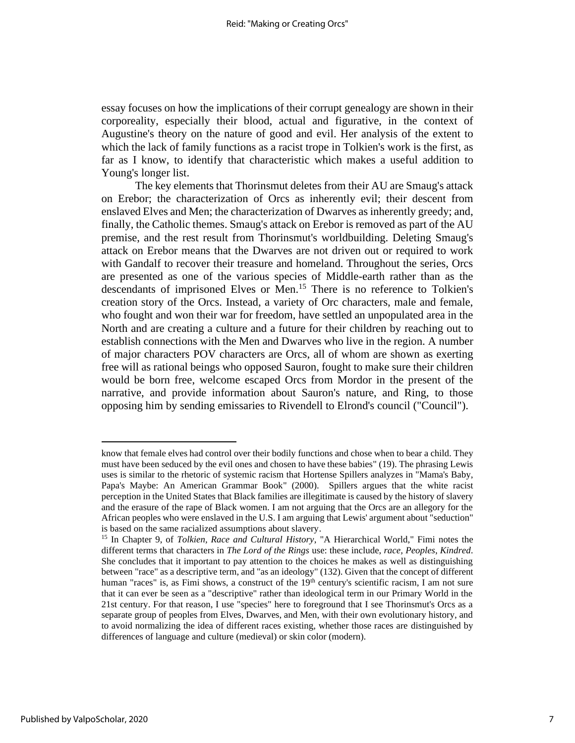essay focuses on how the implications of their corrupt genealogy are shown in their corporeality, especially their blood, actual and figurative, in the context of Augustine's theory on the nature of good and evil. Her analysis of the extent to which the lack of family functions as a racist trope in Tolkien's work is the first, as far as I know, to identify that characteristic which makes a useful addition to Young's longer list.

The key elements that Thorinsmut deletes from their AU are Smaug's attack on Erebor; the characterization of Orcs as inherently evil; their descent from enslaved Elves and Men; the characterization of Dwarves as inherently greedy; and, finally, the Catholic themes. Smaug's attack on Erebor is removed as part of the AU premise, and the rest result from Thorinsmut's worldbuilding. Deleting Smaug's attack on Erebor means that the Dwarves are not driven out or required to work with Gandalf to recover their treasure and homeland. Throughout the series, Orcs are presented as one of the various species of Middle-earth rather than as the descendants of imprisoned Elves or Men. <sup>15</sup> There is no reference to Tolkien's creation story of the Orcs. Instead, a variety of Orc characters, male and female, who fought and won their war for freedom, have settled an unpopulated area in the North and are creating a culture and a future for their children by reaching out to establish connections with the Men and Dwarves who live in the region. A number of major characters POV characters are Orcs, all of whom are shown as exerting free will as rational beings who opposed Sauron, fought to make sure their children would be born free, welcome escaped Orcs from Mordor in the present of the narrative, and provide information about Sauron's nature, and Ring, to those opposing him by sending emissaries to Rivendell to Elrond's council ("Council").

know that female elves had control over their bodily functions and chose when to bear a child. They must have been seduced by the evil ones and chosen to have these babies" (19). The phrasing Lewis uses is similar to the rhetoric of systemic racism that Hortense Spillers analyzes in "Mama's Baby, Papa's Maybe: An American Grammar Book" (2000). Spillers argues that the white racist perception in the United States that Black families are illegitimate is caused by the history of slavery and the erasure of the rape of Black women. I am not arguing that the Orcs are an allegory for the African peoples who were enslaved in the U.S. I am arguing that Lewis' argument about "seduction" is based on the same racialized assumptions about slavery.

<sup>15</sup> In Chapter 9, of *Tolkien, Race and Cultural History*, "A Hierarchical World," Fimi notes the different terms that characters in *The Lord of the Rings* use: these include, *race, Peoples*, *Kindred*. She concludes that it important to pay attention to the choices he makes as well as distinguishing between "race" as a descriptive term, and "as an ideology" (132). Given that the concept of different human "races" is, as Fimi shows, a construct of the 19<sup>th</sup> century's scientific racism, I am not sure that it can ever be seen as a "descriptive" rather than ideological term in our Primary World in the 21st century. For that reason, I use "species" here to foreground that I see Thorinsmut's Orcs as a separate group of peoples from Elves, Dwarves, and Men, with their own evolutionary history, and to avoid normalizing the idea of different races existing, whether those races are distinguished by differences of language and culture (medieval) or skin color (modern).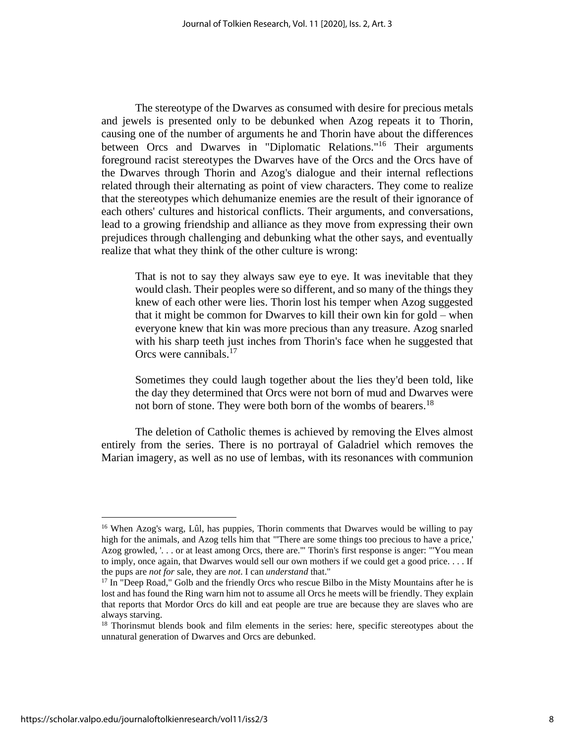The stereotype of the Dwarves as consumed with desire for precious metals and jewels is presented only to be debunked when Azog repeats it to Thorin, causing one of the number of arguments he and Thorin have about the differences between Orcs and Dwarves in "Diplomatic Relations."<sup>16</sup> Their arguments foreground racist stereotypes the Dwarves have of the Orcs and the Orcs have of the Dwarves through Thorin and Azog's dialogue and their internal reflections related through their alternating as point of view characters. They come to realize that the stereotypes which dehumanize enemies are the result of their ignorance of each others' cultures and historical conflicts. Their arguments, and conversations, lead to a growing friendship and alliance as they move from expressing their own prejudices through challenging and debunking what the other says, and eventually realize that what they think of the other culture is wrong:

That is not to say they always saw eye to eye. It was inevitable that they would clash. Their peoples were so different, and so many of the things they knew of each other were lies. Thorin lost his temper when Azog suggested that it might be common for Dwarves to kill their own kin for gold – when everyone knew that kin was more precious than any treasure. Azog snarled with his sharp teeth just inches from Thorin's face when he suggested that Orcs were cannibals.<sup>17</sup>

Sometimes they could laugh together about the lies they'd been told, like the day they determined that Orcs were not born of mud and Dwarves were not born of stone. They were both born of the wombs of bearers.<sup>18</sup>

The deletion of Catholic themes is achieved by removing the Elves almost entirely from the series. There is no portrayal of Galadriel which removes the Marian imagery, as well as no use of lembas, with its resonances with communion

<sup>&</sup>lt;sup>16</sup> When Azog's warg, Lûl, has puppies, Thorin comments that Dwarves would be willing to pay high for the animals, and Azog tells him that "'There are some things too precious to have a price,' Azog growled, '. . . or at least among Orcs, there are.'" Thorin's first response is anger: "'You mean to imply, once again, that Dwarves would sell our own mothers if we could get a good price. . . . If the pups are *not for* sale, they are *not*. I can *understand* that."

<sup>&</sup>lt;sup>17</sup> In "Deep Road," Golb and the friendly Orcs who rescue Bilbo in the Misty Mountains after he is lost and has found the Ring warn him not to assume all Orcs he meets will be friendly. They explain that reports that Mordor Orcs do kill and eat people are true are because they are slaves who are always starving.

<sup>&</sup>lt;sup>18</sup> Thorinsmut blends book and film elements in the series: here, specific stereotypes about the unnatural generation of Dwarves and Orcs are debunked.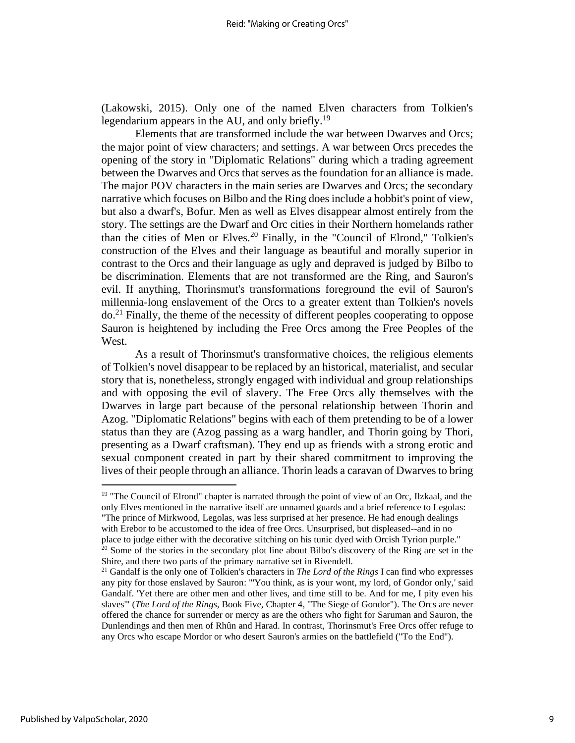(Lakowski, 2015). Only one of the named Elven characters from Tolkien's legendarium appears in the AU, and only briefly.<sup>19</sup>

Elements that are transformed include the war between Dwarves and Orcs; the major point of view characters; and settings. A war between Orcs precedes the opening of the story in "Diplomatic Relations" during which a trading agreement between the Dwarves and Orcs that serves as the foundation for an alliance is made. The major POV characters in the main series are Dwarves and Orcs; the secondary narrative which focuses on Bilbo and the Ring does include a hobbit's point of view, but also a dwarf's, Bofur. Men as well as Elves disappear almost entirely from the story. The settings are the Dwarf and Orc cities in their Northern homelands rather than the cities of Men or Elves.<sup>20</sup> Finally, in the "Council of Elrond," Tolkien's construction of the Elves and their language as beautiful and morally superior in contrast to the Orcs and their language as ugly and depraved is judged by Bilbo to be discrimination. Elements that are not transformed are the Ring, and Sauron's evil. If anything, Thorinsmut's transformations foreground the evil of Sauron's millennia-long enslavement of the Orcs to a greater extent than Tolkien's novels  $\alpha$ <sup>21</sup> Finally, the theme of the necessity of different peoples cooperating to oppose Sauron is heightened by including the Free Orcs among the Free Peoples of the West.

As a result of Thorinsmut's transformative choices, the religious elements of Tolkien's novel disappear to be replaced by an historical, materialist, and secular story that is, nonetheless, strongly engaged with individual and group relationships and with opposing the evil of slavery. The Free Orcs ally themselves with the Dwarves in large part because of the personal relationship between Thorin and Azog. "Diplomatic Relations" begins with each of them pretending to be of a lower status than they are (Azog passing as a warg handler, and Thorin going by Thori, presenting as a Dwarf craftsman). They end up as friends with a strong erotic and sexual component created in part by their shared commitment to improving the lives of their people through an alliance. Thorin leads a caravan of Dwarves to bring

<sup>&</sup>lt;sup>19</sup> "The Council of Elrond" chapter is narrated through the point of view of an Orc, Ilzkaal, and the only Elves mentioned in the narrative itself are unnamed guards and a brief reference to Legolas: "The prince of Mirkwood, Legolas, was less surprised at her presence. He had enough dealings with Erebor to be accustomed to the idea of free Orcs. Unsurprised, but displeased--and in no place to judge either with the decorative stitching on his tunic dyed with Orcish Tyrion purple."  $20$  Some of the stories in the secondary plot line about Bilbo's discovery of the Ring are set in the Shire, and there two parts of the primary narrative set in Rivendell.

<sup>21</sup> Gandalf is the only one of Tolkien's characters in *The Lord of the Rings* I can find who expresses any pity for those enslaved by Sauron: "'You think, as is your wont, my lord, of Gondor only,' said Gandalf. 'Yet there are other men and other lives, and time still to be. And for me, I pity even his slaves'" (*The Lord of the Rings*, Book Five, Chapter 4, "The Siege of Gondor"). The Orcs are never offered the chance for surrender or mercy as are the others who fight for Saruman and Sauron, the Dunlendings and then men of Rhûn and Harad. In contrast, Thorinsmut's Free Orcs offer refuge to any Orcs who escape Mordor or who desert Sauron's armies on the battlefield ("To the End").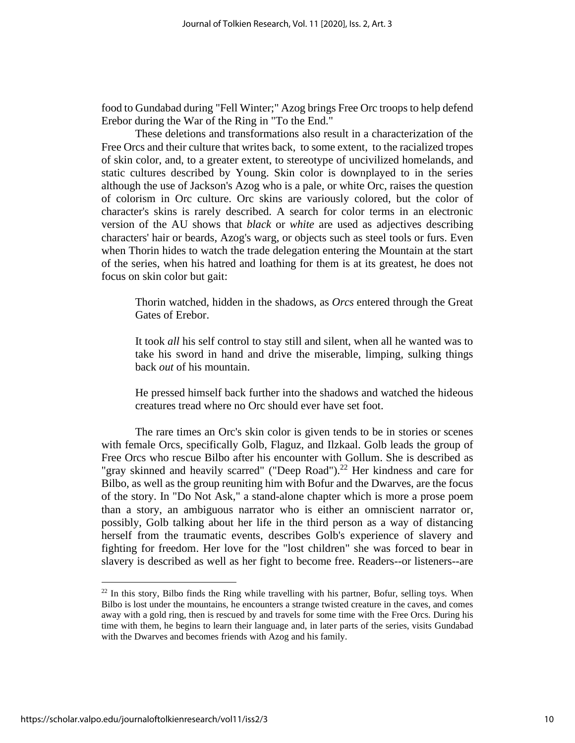food to Gundabad during "Fell Winter;" Azog brings Free Orc troops to help defend Erebor during the War of the Ring in "To the End."

These deletions and transformations also result in a characterization of the Free Orcs and their culture that writes back, to some extent, to the racialized tropes of skin color, and, to a greater extent, to stereotype of uncivilized homelands, and static cultures described by Young. Skin color is downplayed to in the series although the use of Jackson's Azog who is a pale, or white Orc, raises the question of colorism in Orc culture. Orc skins are variously colored, but the color of character's skins is rarely described. A search for color terms in an electronic version of the AU shows that *black* or *white* are used as adjectives describing characters' hair or beards, Azog's warg, or objects such as steel tools or furs. Even when Thorin hides to watch the trade delegation entering the Mountain at the start of the series, when his hatred and loathing for them is at its greatest, he does not focus on skin color but gait:

Thorin watched, hidden in the shadows, as *Orcs* entered through the Great Gates of Erebor.

It took *all* his self control to stay still and silent, when all he wanted was to take his sword in hand and drive the miserable, limping, sulking things back *out* of his mountain.

He pressed himself back further into the shadows and watched the hideous creatures tread where no Orc should ever have set foot.

The rare times an Orc's skin color is given tends to be in stories or scenes with female Orcs, specifically Golb, Flaguz, and Ilzkaal. Golb leads the group of Free Orcs who rescue Bilbo after his encounter with Gollum. She is described as "gray skinned and heavily scarred" ("Deep Road").<sup>22</sup> Her kindness and care for Bilbo, as well as the group reuniting him with Bofur and the Dwarves, are the focus of the story. In "Do Not Ask," a stand-alone chapter which is more a prose poem than a story, an ambiguous narrator who is either an omniscient narrator or, possibly, Golb talking about her life in the third person as a way of distancing herself from the traumatic events, describes Golb's experience of slavery and fighting for freedom. Her love for the "lost children" she was forced to bear in slavery is described as well as her fight to become free. Readers--or listeners--are

<sup>&</sup>lt;sup>22</sup> In this story, Bilbo finds the Ring while travelling with his partner, Bofur, selling toys. When Bilbo is lost under the mountains, he encounters a strange twisted creature in the caves, and comes away with a gold ring, then is rescued by and travels for some time with the Free Orcs. During his time with them, he begins to learn their language and, in later parts of the series, visits Gundabad with the Dwarves and becomes friends with Azog and his family.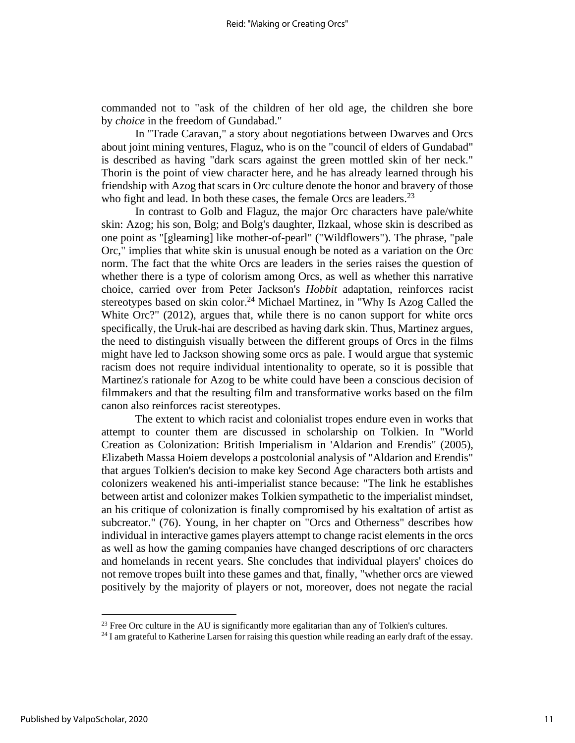commanded not to "ask of the children of her old age, the children she bore by *choice* in the freedom of Gundabad."

In "Trade Caravan," a story about negotiations between Dwarves and Orcs about joint mining ventures, Flaguz, who is on the "council of elders of Gundabad" is described as having "dark scars against the green mottled skin of her neck." Thorin is the point of view character here, and he has already learned through his friendship with Azog that scars in Orc culture denote the honor and bravery of those who fight and lead. In both these cases, the female Orcs are leaders.<sup>23</sup>

In contrast to Golb and Flaguz, the major Orc characters have pale/white skin: Azog; his son, Bolg; and Bolg's daughter, Ilzkaal, whose skin is described as one point as "[gleaming] like mother-of-pearl" ("Wildflowers"). The phrase, "pale Orc," implies that white skin is unusual enough be noted as a variation on the Orc norm. The fact that the white Orcs are leaders in the series raises the question of whether there is a type of colorism among Orcs, as well as whether this narrative choice, carried over from Peter Jackson's *Hobbit* adaptation, reinforces racist stereotypes based on skin color.<sup>24</sup> Michael Martinez, in "Why Is Azog Called the White Orc?" (2012), argues that, while there is no canon support for white orcs specifically, the Uruk-hai are described as having dark skin. Thus, Martinez argues, the need to distinguish visually between the different groups of Orcs in the films might have led to Jackson showing some orcs as pale. I would argue that systemic racism does not require individual intentionality to operate, so it is possible that Martinez's rationale for Azog to be white could have been a conscious decision of filmmakers and that the resulting film and transformative works based on the film canon also reinforces racist stereotypes.

The extent to which racist and colonialist tropes endure even in works that attempt to counter them are discussed in scholarship on Tolkien. In "World Creation as Colonization: British Imperialism in 'Aldarion and Erendis" (2005), Elizabeth Massa Hoiem develops a postcolonial analysis of "Aldarion and Erendis" that argues Tolkien's decision to make key Second Age characters both artists and colonizers weakened his anti-imperialist stance because: "The link he establishes between artist and colonizer makes Tolkien sympathetic to the imperialist mindset, an his critique of colonization is finally compromised by his exaltation of artist as subcreator." (76). Young, in her chapter on "Orcs and Otherness" describes how individual in interactive games players attempt to change racist elements in the orcs as well as how the gaming companies have changed descriptions of orc characters and homelands in recent years. She concludes that individual players' choices do not remove tropes built into these games and that, finally, "whether orcs are viewed positively by the majority of players or not, moreover, does not negate the racial

 $23$  Free Orc culture in the AU is significantly more egalitarian than any of Tolkien's cultures.

<sup>&</sup>lt;sup>24</sup> I am grateful to Katherine Larsen for raising this question while reading an early draft of the essay.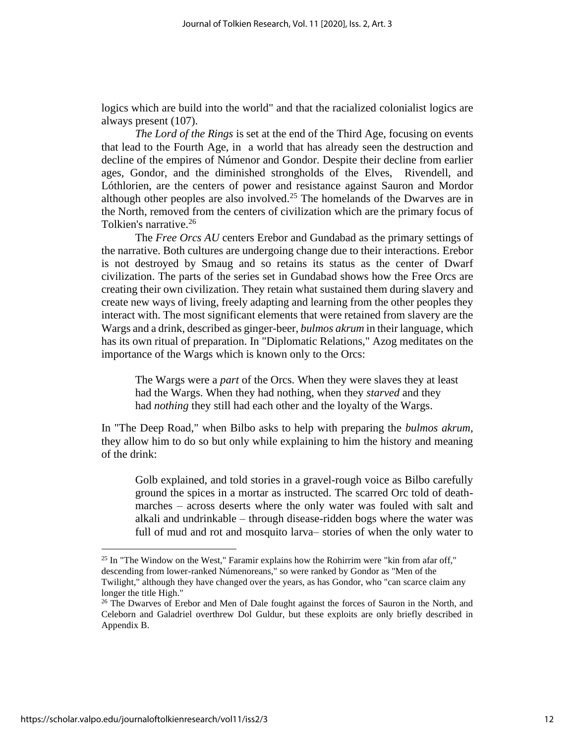logics which are build into the world" and that the racialized colonialist logics are always present (107).

*The Lord of the Rings* is set at the end of the Third Age, focusing on events that lead to the Fourth Age, in a world that has already seen the destruction and decline of the empires of Númenor and Gondor. Despite their decline from earlier ages, Gondor, and the diminished strongholds of the Elves, Rivendell, and Lóthlorien, are the centers of power and resistance against Sauron and Mordor although other peoples are also involved. <sup>25</sup> The homelands of the Dwarves are in the North, removed from the centers of civilization which are the primary focus of Tolkien's narrative. 26

The *Free Orcs AU* centers Erebor and Gundabad as the primary settings of the narrative. Both cultures are undergoing change due to their interactions. Erebor is not destroyed by Smaug and so retains its status as the center of Dwarf civilization. The parts of the series set in Gundabad shows how the Free Orcs are creating their own civilization. They retain what sustained them during slavery and create new ways of living, freely adapting and learning from the other peoples they interact with. The most significant elements that were retained from slavery are the Wargs and a drink, described as ginger-beer, *bulmos akrum* in their language, which has its own ritual of preparation. In "Diplomatic Relations," Azog meditates on the importance of the Wargs which is known only to the Orcs:

The Wargs were a *part* of the Orcs. When they were slaves they at least had the Wargs. When they had nothing, when they *starved* and they had *nothing* they still had each other and the loyalty of the Wargs.

In "The Deep Road," when Bilbo asks to help with preparing the *bulmos akrum,*  they allow him to do so but only while explaining to him the history and meaning of the drink:

Golb explained, and told stories in a gravel-rough voice as Bilbo carefully ground the spices in a mortar as instructed. The scarred Orc told of deathmarches – across deserts where the only water was fouled with salt and alkali and undrinkable – through disease-ridden bogs where the water was full of mud and rot and mosquito larva– stories of when the only water to

<sup>&</sup>lt;sup>25</sup> In "The Window on the West," Faramir explains how the Rohirrim were "kin from afar off," descending from lower-ranked Númenoreans," so were ranked by Gondor as "Men of the

Twilight," although they have changed over the years, as has Gondor, who "can scarce claim any longer the title High."

 $26$  The Dwarves of Erebor and Men of Dale fought against the forces of Sauron in the North, and Celeborn and Galadriel overthrew Dol Guldur, but these exploits are only briefly described in Appendix B.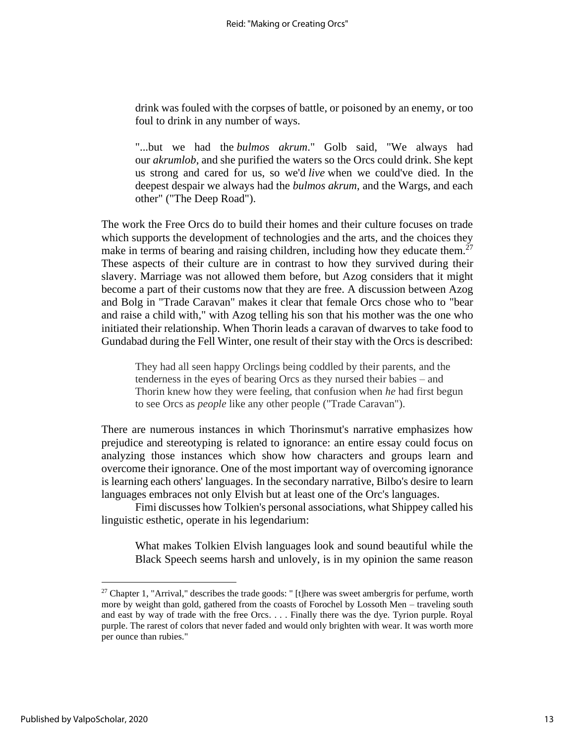drink was fouled with the corpses of battle, or poisoned by an enemy, or too foul to drink in any number of ways.

"...but we had the *bulmos akrum*." Golb said, "We always had our *akrumlob*, and she purified the waters so the Orcs could drink. She kept us strong and cared for us, so we'd *live* when we could've died. In the deepest despair we always had the *bulmos akrum*, and the Wargs, and each other" ("The Deep Road").

The work the Free Orcs do to build their homes and their culture focuses on trade which supports the development of technologies and the arts, and the choices they make in terms of bearing and raising children, including how they educate them.<sup>27</sup> These aspects of their culture are in contrast to how they survived during their slavery. Marriage was not allowed them before, but Azog considers that it might become a part of their customs now that they are free. A discussion between Azog and Bolg in "Trade Caravan" makes it clear that female Orcs chose who to "bear and raise a child with," with Azog telling his son that his mother was the one who initiated their relationship. When Thorin leads a caravan of dwarves to take food to Gundabad during the Fell Winter, one result of their stay with the Orcs is described:

They had all seen happy Orclings being coddled by their parents, and the tenderness in the eyes of bearing Orcs as they nursed their babies – and Thorin knew how they were feeling, that confusion when *he* had first begun to see Orcs as *people* like any other people ("Trade Caravan").

There are numerous instances in which Thorinsmut's narrative emphasizes how prejudice and stereotyping is related to ignorance: an entire essay could focus on analyzing those instances which show how characters and groups learn and overcome their ignorance. One of the most important way of overcoming ignorance is learning each others' languages. In the secondary narrative, Bilbo's desire to learn languages embraces not only Elvish but at least one of the Orc's languages.

Fimi discusses how Tolkien's personal associations, what Shippey called his linguistic esthetic, operate in his legendarium:

What makes Tolkien Elvish languages look and sound beautiful while the Black Speech seems harsh and unlovely, is in my opinion the same reason

 $27$  Chapter 1, "Arrival," describes the trade goods: " [t]here was sweet ambergris for perfume, worth more by weight than gold, gathered from the coasts of Forochel by Lossoth Men – traveling south and east by way of trade with the free Orcs. . . . Finally there was the dye. Tyrion purple. Royal purple. The rarest of colors that never faded and would only brighten with wear. It was worth more per ounce than rubies."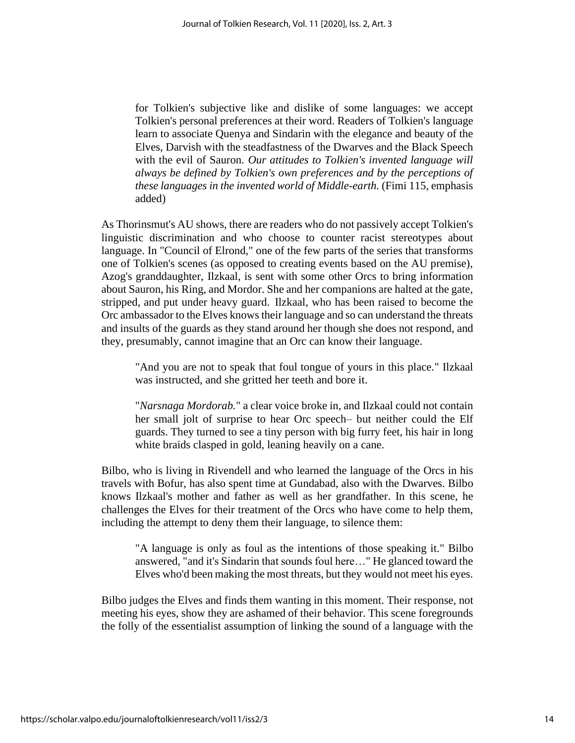for Tolkien's subjective like and dislike of some languages: we accept Tolkien's personal preferences at their word. Readers of Tolkien's language learn to associate Quenya and Sindarin with the elegance and beauty of the Elves, Darvish with the steadfastness of the Dwarves and the Black Speech with the evil of Sauron. *Our attitudes to Tolkien's invented language will always be defined by Tolkien's own preferences and by the perceptions of these languages in the invented world of Middle-earth.* (Fimi 115, emphasis added)

As Thorinsmut's AU shows, there are readers who do not passively accept Tolkien's linguistic discrimination and who choose to counter racist stereotypes about language. In "Council of Elrond," one of the few parts of the series that transforms one of Tolkien's scenes (as opposed to creating events based on the AU premise), Azog's granddaughter, Ilzkaal, is sent with some other Orcs to bring information about Sauron, his Ring, and Mordor. She and her companions are halted at the gate, stripped, and put under heavy guard. Ilzkaal, who has been raised to become the Orc ambassador to the Elves knows their language and so can understand the threats and insults of the guards as they stand around her though she does not respond, and they, presumably, cannot imagine that an Orc can know their language.

"And you are not to speak that foul tongue of yours in this place." Ilzkaal was instructed, and she gritted her teeth and bore it.

"*Narsnaga Mordorab.*" a clear voice broke in, and Ilzkaal could not contain her small jolt of surprise to hear Orc speech– but neither could the Elf guards. They turned to see a tiny person with big furry feet, his hair in long white braids clasped in gold, leaning heavily on a cane.

Bilbo, who is living in Rivendell and who learned the language of the Orcs in his travels with Bofur, has also spent time at Gundabad, also with the Dwarves. Bilbo knows Ilzkaal's mother and father as well as her grandfather. In this scene, he challenges the Elves for their treatment of the Orcs who have come to help them, including the attempt to deny them their language, to silence them:

"A language is only as foul as the intentions of those speaking it." Bilbo answered, "and it's Sindarin that sounds foul here…" He glanced toward the Elves who'd been making the most threats, but they would not meet his eyes.

Bilbo judges the Elves and finds them wanting in this moment. Their response, not meeting his eyes, show they are ashamed of their behavior. This scene foregrounds the folly of the essentialist assumption of linking the sound of a language with the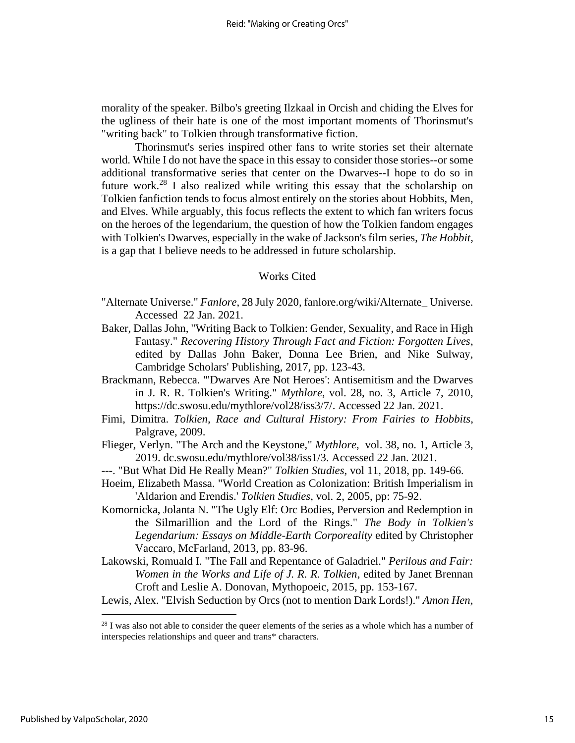morality of the speaker. Bilbo's greeting Ilzkaal in Orcish and chiding the Elves for the ugliness of their hate is one of the most important moments of Thorinsmut's "writing back" to Tolkien through transformative fiction.

Thorinsmut's series inspired other fans to write stories set their alternate world. While I do not have the space in this essay to consider those stories--or some additional transformative series that center on the Dwarves--I hope to do so in future work.<sup>28</sup> I also realized while writing this essay that the scholarship on Tolkien fanfiction tends to focus almost entirely on the stories about Hobbits, Men, and Elves. While arguably, this focus reflects the extent to which fan writers focus on the heroes of the legendarium, the question of how the Tolkien fandom engages with Tolkien's Dwarves, especially in the wake of Jackson's film series, *The Hobbit*, is a gap that I believe needs to be addressed in future scholarship.

#### Works Cited

- "Alternate Universe." *Fanlore*, 28 July 2020, fanlore.org/wiki/Alternate\_ Universe. Accessed 22 Jan. 2021.
- Baker, Dallas John, "Writing Back to Tolkien: Gender, Sexuality, and Race in High Fantasy." *Recovering History Through Fact and Fiction: Forgotten Lives*, edited by Dallas John Baker, Donna Lee Brien, and Nike Sulway, Cambridge Scholars' Publishing, 2017, pp. 123-43.
- Brackmann, Rebecca. "'Dwarves Are Not Heroes': Antisemitism and the Dwarves in J. R. R. Tolkien's Writing." *Mythlore*, vol. 28, no. 3, Article 7, 2010, https://dc.swosu.edu/mythlore/vol28/iss3/7/. Accessed 22 Jan. 2021.
- Fimi, Dimitra. *Tolkien, Race and Cultural History: From Fairies to Hobbits*, Palgrave, 2009.
- Flieger, Verlyn. "The Arch and the Keystone," *Mythlore*, vol. 38, no. 1, Article 3, 2019. dc.swosu.edu/mythlore/vol38/iss1/3. Accessed 22 Jan. 2021.
- ---. "But What Did He Really Mean?" *Tolkien Studies*, vol 11, 2018, pp. 149-66.
- Hoeim, Elizabeth Massa. "World Creation as Colonization: British Imperialism in 'Aldarion and Erendis.' *Tolkien Studies*, vol. 2, 2005, pp: 75-92.
- Komornicka, Jolanta N. "The Ugly Elf: Orc Bodies, Perversion and Redemption in the Silmarillion and the Lord of the Rings." *The Body in Tolkien's Legendarium: Essays on Middle-Earth Corporeality* edited by Christopher Vaccaro, McFarland, 2013, pp. 83-96.
- Lakowski, Romuald I. "The Fall and Repentance of Galadriel." *Perilous and Fair: Women in the Works and Life of J. R. R. Tolkien*, edited by Janet Brennan Croft and Leslie A. Donovan, Mythopoeic, 2015, pp. 153-167.
- Lewis, Alex. "Elvish Seduction by Orcs (not to mention Dark Lords!)." *Amon Hen*,

 $28$  I was also not able to consider the queer elements of the series as a whole which has a number of interspecies relationships and queer and trans\* characters.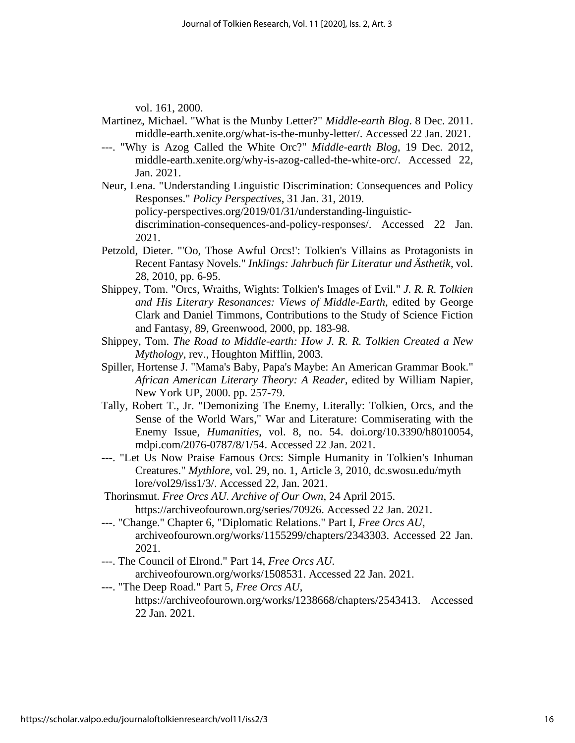vol. 161, 2000.

- Martinez, Michael. "What is the Munby Letter?" *Middle-earth Blog*. 8 Dec. 2011. middle-earth.xenite.org/what-is-the-munby-letter/. Accessed 22 Jan. 2021.
- ---. "Why is Azog Called the White Orc?" *Middle-earth Blog*, 19 Dec. 2012, middle-earth.xenite.org/why-is-azog-called-the-white-orc/. Accessed 22, Jan. 2021.
- Neur, Lena. "Understanding Linguistic Discrimination: Consequences and Policy Responses." *Policy Perspectives*, 31 Jan. 31, 2019. policy-perspectives.org/2019/01/31/understanding-linguisticdiscrimination-consequences-and-policy-responses/. Accessed 22 Jan. 2021.
- Petzold, Dieter. "'Oo, Those Awful Orcs!': Tolkien's Villains as Protagonists in Recent Fantasy Novels." *Inklings: Jahrbuch für Literatur und Ästhetik*, vol. 28, 2010, pp. 6-95.
- Shippey, Tom. "Orcs, Wraiths, Wights: Tolkien's Images of Evil." *J. R. R. Tolkien and His Literary Resonances: Views of Middle-Earth*, edited by George Clark and Daniel Timmons, Contributions to the Study of Science Fiction and Fantasy, 89, Greenwood, 2000, pp. 183-98.
- Shippey, Tom. *The Road to Middle-earth: How J. R. R. Tolkien Created a New Mythology*, rev., Houghton Mifflin, 2003.
- Spiller, Hortense J. "Mama's Baby, Papa's Maybe: An American Grammar Book." *African American Literary Theory: A Reader*, edited by William Napier, New York UP, 2000. pp. 257-79.
- Tally, Robert T., Jr. "Demonizing The Enemy, Literally: Tolkien, Orcs, and the Sense of the World Wars," War and Literature: Commiserating with the Enemy Issue, *Humanities*, vol. 8, no. 54. doi.org/10.3390/h8010054, mdpi.com/2076-0787/8/1/54. Accessed 22 Jan. 2021.
- ---. "Let Us Now Praise Famous Orcs: Simple Humanity in Tolkien's Inhuman Creatures." *Mythlore*, vol. 29, no. 1, Article 3, 2010, dc.swosu.edu/myth lore/vol29/iss1/3/. Accessed 22, Jan. 2021.
- Thorinsmut. *Free Orcs AU*. *Archive of Our Own*, 24 April 2015. https://archiveofourown.org/series/70926. Accessed 22 Jan. 2021.
- ---. "Change." Chapter 6, "Diplomatic Relations." Part I*, Free Orcs AU*, archiveofourown.org/works/1155299/chapters/2343303. Accessed 22 Jan. 2021.
- ---. The Council of Elrond." Part 14, *Free Orcs AU*. archiveofourown.org/works/1508531. Accessed 22 Jan. 2021.
- ---. "The Deep Road." Part 5, *Free Orcs AU*, https://archiveofourown.org/works/1238668/chapters/2543413. Accessed 22 Jan. 2021.